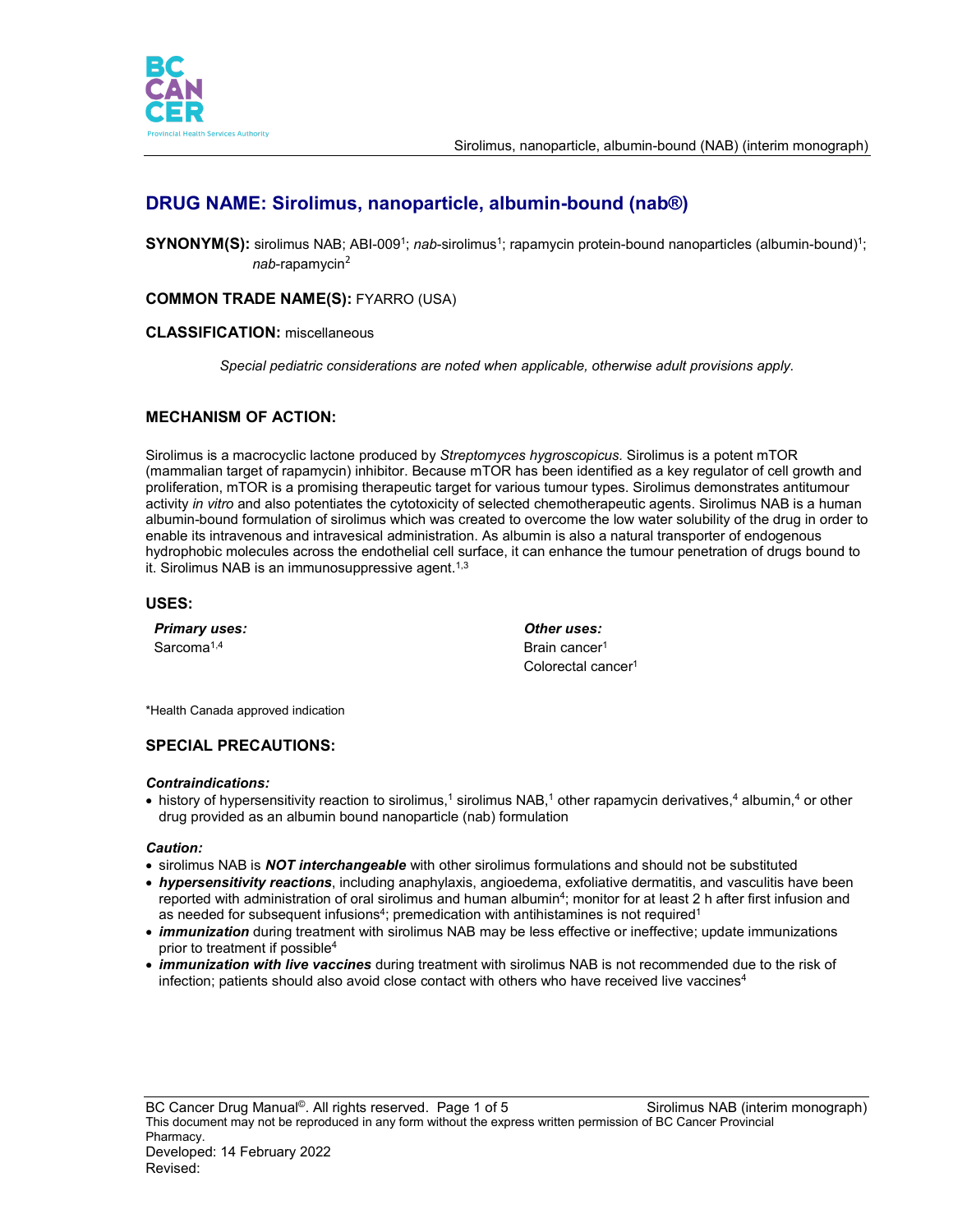

# **DRUG NAME: Sirolimus, nanoparticle, albumin-bound (nab®)**

**SYNONYM(S):** sirolimus NAB; ABI-009<sup>1</sup>; *nab*-sirolimus<sup>1</sup>; rapamycin protein-bound nanoparticles (albumin-bound)<sup>1</sup>; *nab*-rapamycin<sup>2</sup>

# **COMMON TRADE NAME(S):** FYARRO (USA)

### **CLASSIFICATION:** miscellaneous

*Special pediatric considerations are noted when applicable, otherwise adult provisions apply.*

## **MECHANISM OF ACTION:**

Sirolimus is a macrocyclic lactone produced by *Streptomyces hygroscopicus.* Sirolimus is a potent mTOR (mammalian target of rapamycin) inhibitor. Because mTOR has been identified as a key regulator of cell growth and proliferation, mTOR is a promising therapeutic target for various tumour types. Sirolimus demonstrates antitumour activity *in vitro* and also potentiates the cytotoxicity of selected chemotherapeutic agents. Sirolimus NAB is a human albumin-bound formulation of sirolimus which was created to overcome the low water solubility of the drug in order to enable its intravenous and intravesical administration. As albumin is also a natural transporter of endogenous hydrophobic molecules across the endothelial cell surface, it can enhance the tumour penetration of drugs bound to it. Sirolimus NAB is an immunosuppressive agent.<sup>1,3</sup>

#### **USES:**

*Primary uses: Other uses:* Sarcoma<sup>1,4</sup> Brain cancer<sup>1</sup>

Colorectal cancer<sup>1</sup>

\*Health Canada approved indication

# **SPECIAL PRECAUTIONS:**

#### *Contraindications:*

• history of hypersensitivity reaction to sirolimus,<sup>1</sup> sirolimus NAB,<sup>1</sup> other rapamycin derivatives,<sup>4</sup> albumin,<sup>4</sup> or other drug provided as an albumin bound nanoparticle (nab) formulation

#### *Caution:*

- sirolimus NAB is *NOT interchangeable* with other sirolimus formulations and should not be substituted
- *hypersensitivity reactions*, including anaphylaxis, angioedema, exfoliative dermatitis, and vasculitis have been reported with administration of oral sirolimus and human albumin<sup>4</sup>; monitor for at least 2 h after first infusion and as needed for subsequent infusions<sup>4</sup>; premedication with antihistamines is not required<sup>1</sup>
- *immunization* during treatment with sirolimus NAB may be less effective or ineffective; update immunizations prior to treatment if possible4
- *immunization with live vaccines* during treatment with sirolimus NAB is not recommended due to the risk of infection; patients should also avoid close contact with others who have received live vaccines<sup>4</sup>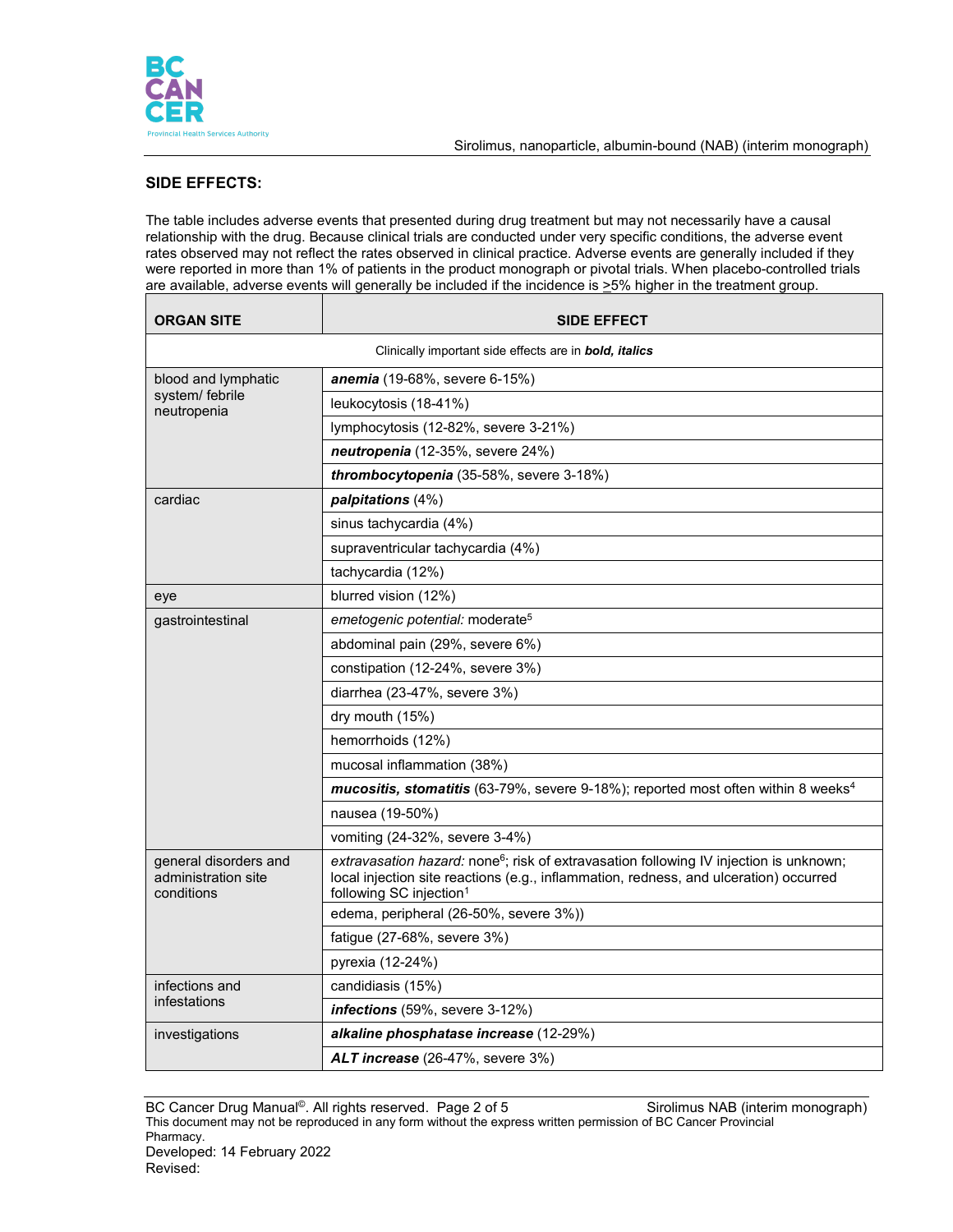

┑

# **SIDE EFFECTS:**

The table includes adverse events that presented during drug treatment but may not necessarily have a causal relationship with the drug. Because clinical trials are conducted under very specific conditions, the adverse event rates observed may not reflect the rates observed in clinical practice. Adverse events are generally included if they were reported in more than 1% of patients in the product monograph or pivotal trials. When placebo-controlled trials are available, adverse events will generally be included if the incidence is  $\geq$ 5% higher in the treatment group.

| <b>ORGAN SITE</b>                                             | <b>SIDE EFFECT</b>                                                                                                                                                                                                                 |  |  |  |  |
|---------------------------------------------------------------|------------------------------------------------------------------------------------------------------------------------------------------------------------------------------------------------------------------------------------|--|--|--|--|
| Clinically important side effects are in <b>bold, italics</b> |                                                                                                                                                                                                                                    |  |  |  |  |
| blood and lymphatic                                           | anemia (19-68%, severe 6-15%)                                                                                                                                                                                                      |  |  |  |  |
| system/febrile<br>neutropenia                                 | leukocytosis (18-41%)                                                                                                                                                                                                              |  |  |  |  |
|                                                               | lymphocytosis (12-82%, severe 3-21%)                                                                                                                                                                                               |  |  |  |  |
|                                                               | neutropenia (12-35%, severe 24%)                                                                                                                                                                                                   |  |  |  |  |
|                                                               | thrombocytopenia (35-58%, severe 3-18%)                                                                                                                                                                                            |  |  |  |  |
| cardiac                                                       | palpitations (4%)                                                                                                                                                                                                                  |  |  |  |  |
|                                                               | sinus tachycardia (4%)                                                                                                                                                                                                             |  |  |  |  |
|                                                               | supraventricular tachycardia (4%)                                                                                                                                                                                                  |  |  |  |  |
|                                                               | tachycardia (12%)                                                                                                                                                                                                                  |  |  |  |  |
| eye                                                           | blurred vision (12%)                                                                                                                                                                                                               |  |  |  |  |
| gastrointestinal                                              | emetogenic potential: moderate <sup>5</sup>                                                                                                                                                                                        |  |  |  |  |
|                                                               | abdominal pain (29%, severe 6%)                                                                                                                                                                                                    |  |  |  |  |
|                                                               | constipation (12-24%, severe 3%)                                                                                                                                                                                                   |  |  |  |  |
|                                                               | diarrhea (23-47%, severe 3%)                                                                                                                                                                                                       |  |  |  |  |
|                                                               | dry mouth (15%)                                                                                                                                                                                                                    |  |  |  |  |
|                                                               | hemorrhoids (12%)                                                                                                                                                                                                                  |  |  |  |  |
|                                                               | mucosal inflammation (38%)                                                                                                                                                                                                         |  |  |  |  |
|                                                               | mucositis, stomatitis (63-79%, severe 9-18%); reported most often within 8 weeks <sup>4</sup>                                                                                                                                      |  |  |  |  |
|                                                               | nausea (19-50%)                                                                                                                                                                                                                    |  |  |  |  |
|                                                               | vomiting (24-32%, severe 3-4%)                                                                                                                                                                                                     |  |  |  |  |
| general disorders and<br>administration site<br>conditions    | extravasation hazard: none <sup>6</sup> ; risk of extravasation following IV injection is unknown;<br>local injection site reactions (e.g., inflammation, redness, and ulceration) occurred<br>following SC injection <sup>1</sup> |  |  |  |  |
|                                                               | edema, peripheral (26-50%, severe 3%))                                                                                                                                                                                             |  |  |  |  |
|                                                               | fatigue (27-68%, severe 3%)                                                                                                                                                                                                        |  |  |  |  |
|                                                               | pyrexia (12-24%)                                                                                                                                                                                                                   |  |  |  |  |
| infections and                                                | candidiasis (15%)                                                                                                                                                                                                                  |  |  |  |  |
| infestations                                                  | infections (59%, severe 3-12%)                                                                                                                                                                                                     |  |  |  |  |
| investigations                                                | alkaline phosphatase increase (12-29%)                                                                                                                                                                                             |  |  |  |  |
|                                                               | ALT increase (26-47%, severe 3%)                                                                                                                                                                                                   |  |  |  |  |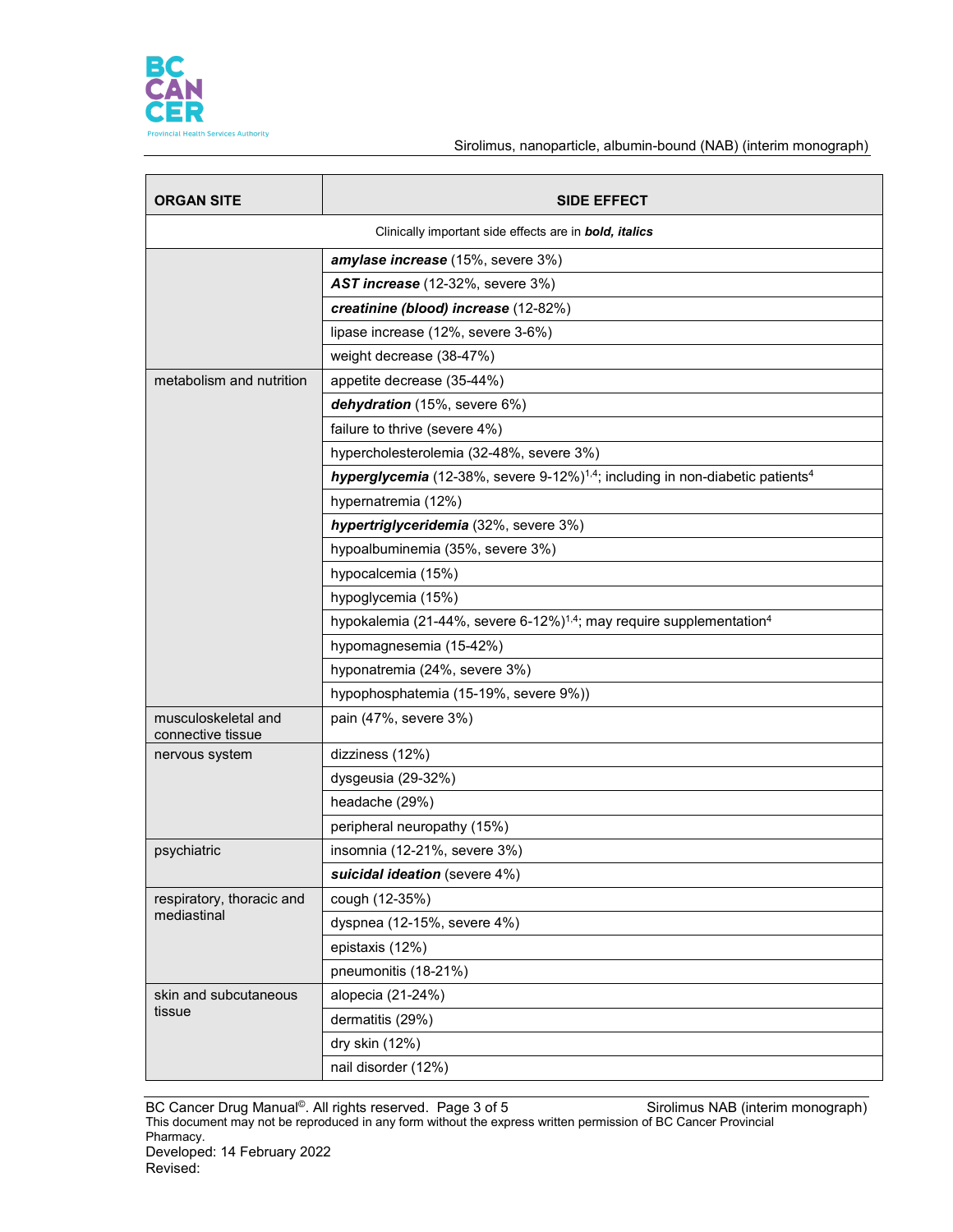

### Sirolimus, nanoparticle, albumin-bound (NAB) (interim monograph)

| <b>ORGAN SITE</b>                        | <b>SIDE EFFECT</b>                                                                                    |  |  |  |  |
|------------------------------------------|-------------------------------------------------------------------------------------------------------|--|--|--|--|
|                                          | Clinically important side effects are in <b>bold, italics</b>                                         |  |  |  |  |
|                                          | amylase increase (15%, severe 3%)                                                                     |  |  |  |  |
|                                          | AST increase (12-32%, severe 3%)                                                                      |  |  |  |  |
|                                          | creatinine (blood) increase (12-82%)                                                                  |  |  |  |  |
|                                          | lipase increase (12%, severe 3-6%)                                                                    |  |  |  |  |
|                                          | weight decrease (38-47%)                                                                              |  |  |  |  |
| metabolism and nutrition                 | appetite decrease (35-44%)                                                                            |  |  |  |  |
|                                          | dehydration (15%, severe 6%)                                                                          |  |  |  |  |
|                                          | failure to thrive (severe 4%)                                                                         |  |  |  |  |
|                                          | hypercholesterolemia (32-48%, severe 3%)                                                              |  |  |  |  |
|                                          | hyperglycemia (12-38%, severe 9-12%) <sup>1,4</sup> ; including in non-diabetic patients <sup>4</sup> |  |  |  |  |
|                                          | hypernatremia (12%)                                                                                   |  |  |  |  |
|                                          | hypertriglyceridemia (32%, severe 3%)                                                                 |  |  |  |  |
|                                          | hypoalbuminemia (35%, severe 3%)                                                                      |  |  |  |  |
|                                          | hypocalcemia (15%)                                                                                    |  |  |  |  |
|                                          | hypoglycemia (15%)                                                                                    |  |  |  |  |
|                                          | hypokalemia (21-44%, severe 6-12%) <sup>1,4</sup> ; may require supplementation <sup>4</sup>          |  |  |  |  |
|                                          | hypomagnesemia (15-42%)                                                                               |  |  |  |  |
|                                          | hyponatremia (24%, severe 3%)                                                                         |  |  |  |  |
|                                          | hypophosphatemia (15-19%, severe 9%))                                                                 |  |  |  |  |
| musculoskeletal and<br>connective tissue | pain (47%, severe 3%)                                                                                 |  |  |  |  |
| nervous system                           | dizziness (12%)                                                                                       |  |  |  |  |
|                                          | dysgeusia (29-32%)                                                                                    |  |  |  |  |
|                                          | headache (29%)                                                                                        |  |  |  |  |
|                                          | peripheral neuropathy (15%)                                                                           |  |  |  |  |
| psychiatric                              | insomnia (12-21%, severe 3%)                                                                          |  |  |  |  |
|                                          | suicidal ideation (severe 4%)                                                                         |  |  |  |  |
| respiratory, thoracic and                | cough (12-35%)                                                                                        |  |  |  |  |
| mediastinal                              | dyspnea (12-15%, severe 4%)                                                                           |  |  |  |  |
|                                          | epistaxis (12%)                                                                                       |  |  |  |  |
|                                          | pneumonitis (18-21%)                                                                                  |  |  |  |  |
| skin and subcutaneous                    | alopecia (21-24%)                                                                                     |  |  |  |  |
| tissue                                   | dermatitis (29%)                                                                                      |  |  |  |  |
|                                          | dry skin (12%)                                                                                        |  |  |  |  |
|                                          | nail disorder (12%)                                                                                   |  |  |  |  |

BC Cancer Drug Manual<sup>©</sup>. All rights reserved. Page 3 of 5 Sinch Sirolimus NAB (interim monograph) This document may not be reproduced in any form without the express written permission of BC Cancer Provincial Pharmacy. Developed: 14 February 2022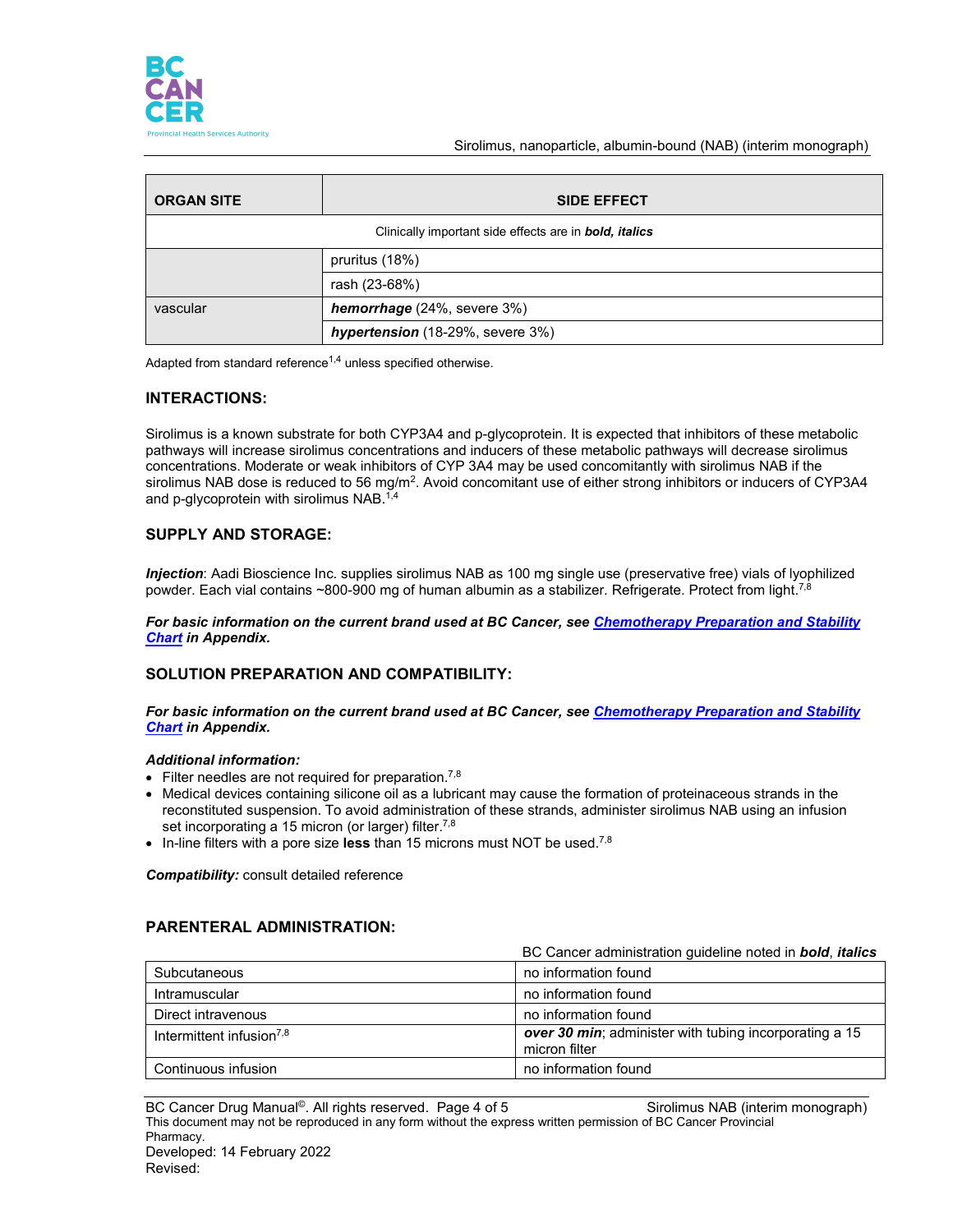

Sirolimus, nanoparticle, albumin-bound (NAB) (interim monograph)

| <b>ORGAN SITE</b>                                             | <b>SIDE EFFECT</b>               |  |  |  |  |
|---------------------------------------------------------------|----------------------------------|--|--|--|--|
| Clinically important side effects are in <b>bold, italics</b> |                                  |  |  |  |  |
|                                                               | pruritus (18%)                   |  |  |  |  |
|                                                               | rash (23-68%)                    |  |  |  |  |
| vascular                                                      | hemorrhage (24%, severe 3%)      |  |  |  |  |
|                                                               | hypertension (18-29%, severe 3%) |  |  |  |  |

Adapted from standard reference<sup>1,4</sup> unless specified otherwise.

### **INTERACTIONS:**

Sirolimus is a known substrate for both CYP3A4 and p-glycoprotein. It is expected that inhibitors of these metabolic pathways will increase sirolimus concentrations and inducers of these metabolic pathways will decrease sirolimus concentrations. Moderate or weak inhibitors of CYP 3A4 may be used concomitantly with sirolimus NAB if the sirolimus NAB dose is reduced to 56 mg/m<sup>2</sup>. Avoid concomitant use of either strong inhibitors or inducers of CYP3A4 and p-glycoprotein with sirolimus NAB. 1,4

## **SUPPLY AND STORAGE:**

*Injection*: Aadi Bioscience Inc. supplies sirolimus NAB as 100 mg single use (preservative free) vials of lyophilized powder. Each vial contains ~800-900 mg of human albumin as a stabilizer. Refrigerate. Protect from light.<sup>7,8</sup>

*For basic information on the current brand used at BC Cancer, see [Chemotherapy Preparation and Stability](http://www.bccancer.bc.ca/HPI/DrugDatabase/Appendices/default.htm#chemochart)  [Chart](http://www.bccancer.bc.ca/HPI/DrugDatabase/Appendices/default.htm#chemochart) in Appendix.*

### **SOLUTION PREPARATION AND COMPATIBILITY:**

*For basic information on the current brand used at BC Cancer, see [Chemotherapy Preparation and Stability](http://www.bccancer.bc.ca/HPI/DrugDatabase/Appendices/default.htm#chemochart)  [Chart](http://www.bccancer.bc.ca/HPI/DrugDatabase/Appendices/default.htm#chemochart) in Appendix.*

#### *Additional information:*

- $\bullet$  Filter needles are not required for preparation.<sup>7,8</sup>
- Medical devices containing silicone oil as a lubricant may cause the formation of proteinaceous strands in the reconstituted suspension. To avoid administration of these strands, administer sirolimus NAB using an infusion set incorporating a 15 micron (or larger) filter.<sup>7,8</sup>
- In-line filters with a pore size **less** than 15 microns must NOT be used. 7,8

*Compatibility:* consult detailed reference

## **PARENTERAL ADMINISTRATION:**

|                                      | BC Cancer administration guideline noted in <b>bold</b> , <i>italics</i> |  |
|--------------------------------------|--------------------------------------------------------------------------|--|
| Subcutaneous                         | no information found                                                     |  |
| Intramuscular                        | no information found                                                     |  |
| Direct intravenous                   | no information found                                                     |  |
| Intermittent infusion <sup>7,8</sup> | over 30 min; administer with tubing incorporating a 15<br>micron filter  |  |
| Continuous infusion                  | no information found                                                     |  |

BC Cancer Drug Manual<sup>©</sup>. All rights reserved. Page 4 of 5 Sirolimus NAB (interim monograph) This document may not be reproduced in any form without the express written permission of BC Cancer Provincial Pharmacy. Developed: 14 February 2022 Revised: